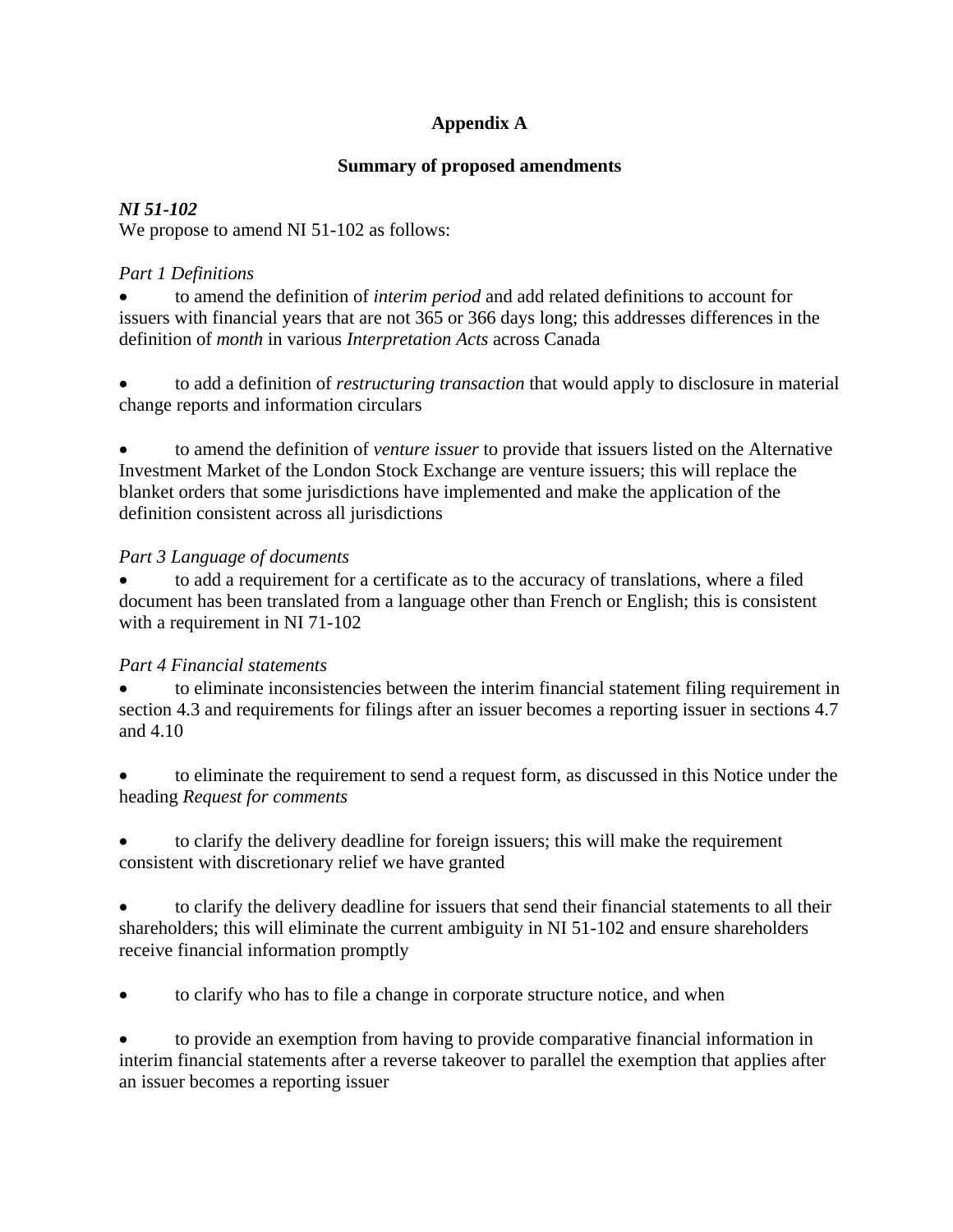# **Appendix A**

### **Summary of proposed amendments**

### *NI 51-102*

We propose to amend NI 51-102 as follows:

### *Part 1 Definitions*

• to amend the definition of *interim period* and add related definitions to account for issuers with financial years that are not 365 or 366 days long; this addresses differences in the definition of *month* in various *Interpretation Acts* across Canada

• to add a definition of *restructuring transaction* that would apply to disclosure in material change reports and information circulars

• to amend the definition of *venture issuer* to provide that issuers listed on the Alternative Investment Market of the London Stock Exchange are venture issuers; this will replace the blanket orders that some jurisdictions have implemented and make the application of the definition consistent across all jurisdictions

### *Part 3 Language of documents*

• to add a requirement for a certificate as to the accuracy of translations, where a filed document has been translated from a language other than French or English; this is consistent with a requirement in NI 71-102

## *Part 4 Financial statements*

• to eliminate inconsistencies between the interim financial statement filing requirement in section 4.3 and requirements for filings after an issuer becomes a reporting issuer in sections 4.7 and 4.10

• to eliminate the requirement to send a request form, as discussed in this Notice under the heading *Request for comments* 

• to clarify the delivery deadline for foreign issuers; this will make the requirement consistent with discretionary relief we have granted

• to clarify the delivery deadline for issuers that send their financial statements to all their shareholders; this will eliminate the current ambiguity in NI 51-102 and ensure shareholders receive financial information promptly

• to clarify who has to file a change in corporate structure notice, and when

• to provide an exemption from having to provide comparative financial information in interim financial statements after a reverse takeover to parallel the exemption that applies after an issuer becomes a reporting issuer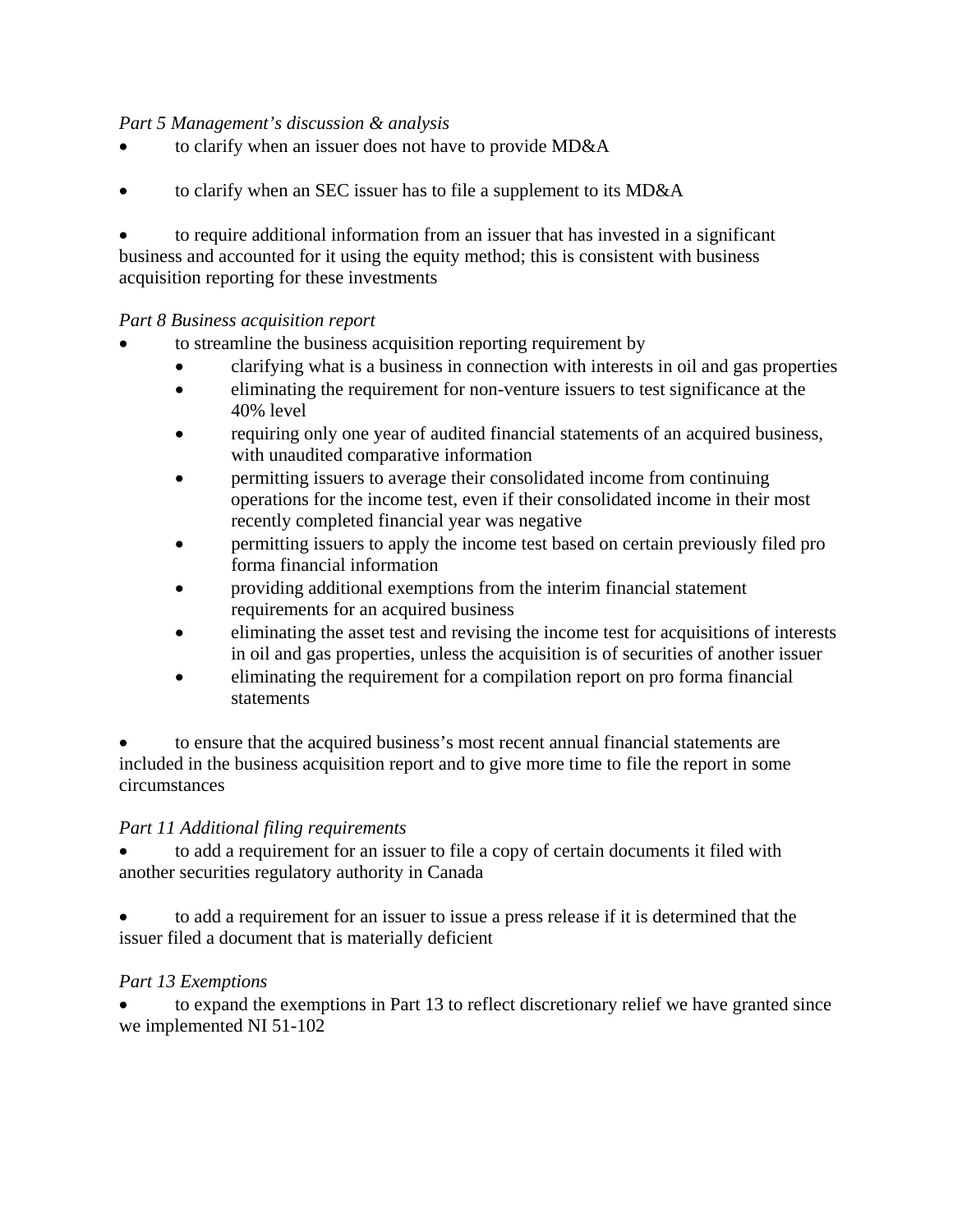#### *Part 5 Management's discussion & analysis*

- to clarify when an issuer does not have to provide MD&A
- to clarify when an SEC issuer has to file a supplement to its MD&A

• to require additional information from an issuer that has invested in a significant business and accounted for it using the equity method; this is consistent with business acquisition reporting for these investments

#### *Part 8 Business acquisition report*

- to streamline the business acquisition reporting requirement by
	- clarifying what is a business in connection with interests in oil and gas properties
	- eliminating the requirement for non-venture issuers to test significance at the 40% level
	- requiring only one year of audited financial statements of an acquired business, with unaudited comparative information
	- permitting issuers to average their consolidated income from continuing operations for the income test, even if their consolidated income in their most recently completed financial year was negative
	- permitting issuers to apply the income test based on certain previously filed pro forma financial information
	- providing additional exemptions from the interim financial statement requirements for an acquired business
	- eliminating the asset test and revising the income test for acquisitions of interests in oil and gas properties, unless the acquisition is of securities of another issuer
	- eliminating the requirement for a compilation report on pro forma financial statements

• to ensure that the acquired business's most recent annual financial statements are included in the business acquisition report and to give more time to file the report in some circumstances

#### *Part 11 Additional filing requirements*

• to add a requirement for an issuer to file a copy of certain documents it filed with another securities regulatory authority in Canada

• to add a requirement for an issuer to issue a press release if it is determined that the issuer filed a document that is materially deficient

#### *Part 13 Exemptions*

• to expand the exemptions in Part 13 to reflect discretionary relief we have granted since we implemented NI 51-102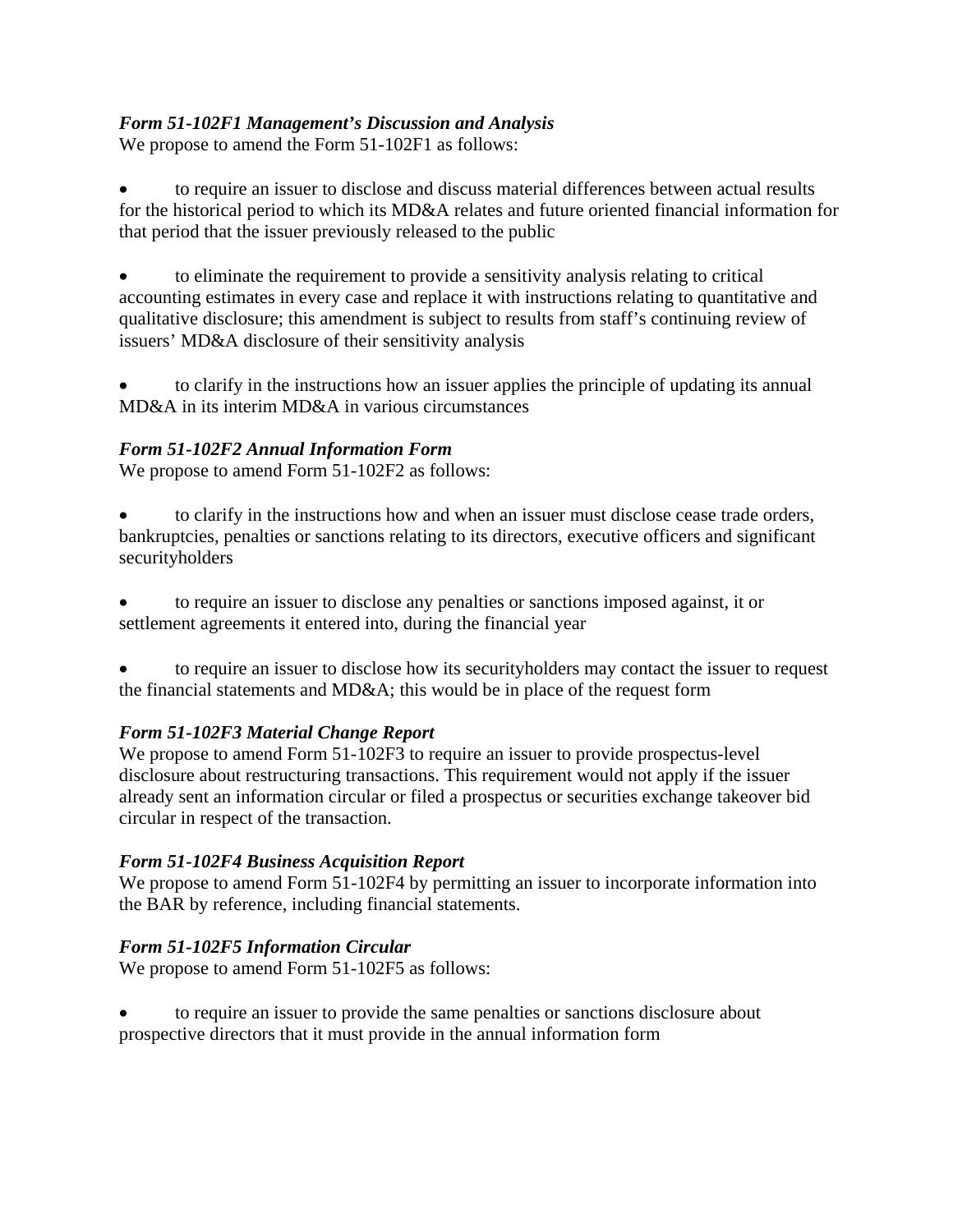## *Form 51-102F1 Management's Discussion and Analysis*

We propose to amend the Form 51-102F1 as follows:

• to require an issuer to disclose and discuss material differences between actual results for the historical period to which its MD&A relates and future oriented financial information for that period that the issuer previously released to the public

• to eliminate the requirement to provide a sensitivity analysis relating to critical accounting estimates in every case and replace it with instructions relating to quantitative and qualitative disclosure; this amendment is subject to results from staff's continuing review of issuers' MD&A disclosure of their sensitivity analysis

• to clarify in the instructions how an issuer applies the principle of updating its annual MD&A in its interim MD&A in various circumstances

## *Form 51-102F2 Annual Information Form*

We propose to amend Form 51-102F2 as follows:

• to clarify in the instructions how and when an issuer must disclose cease trade orders, bankruptcies, penalties or sanctions relating to its directors, executive officers and significant securityholders

• to require an issuer to disclose any penalties or sanctions imposed against, it or settlement agreements it entered into, during the financial year

• to require an issuer to disclose how its securityholders may contact the issuer to request the financial statements and MD&A; this would be in place of the request form

## *Form 51-102F3 Material Change Report*

We propose to amend Form 51-102F3 to require an issuer to provide prospectus-level disclosure about restructuring transactions. This requirement would not apply if the issuer already sent an information circular or filed a prospectus or securities exchange takeover bid circular in respect of the transaction.

## *Form 51-102F4 Business Acquisition Report*

We propose to amend Form 51-102F4 by permitting an issuer to incorporate information into the BAR by reference, including financial statements.

## *Form 51-102F5 Information Circular*

We propose to amend Form 51-102F5 as follows:

• to require an issuer to provide the same penalties or sanctions disclosure about prospective directors that it must provide in the annual information form